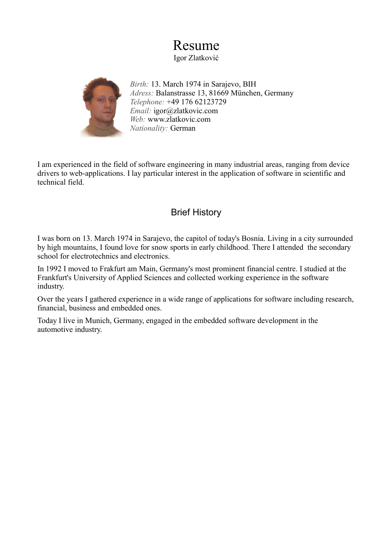# Resume

Igor Zlatković



*Birth:* 13. March 1974 in Sarajevo, BIH *Adress:* Balanstrasse 13, 81669 München, Germany *Telephone:* +49 176 62123729 *Email:* igor@zlatkovic.com *Web:* www.zlatkovic.com *Nationality:* German

I am experienced in the field of software engineering in many industrial areas, ranging from device drivers to web-applications. I lay particular interest in the application of software in scientific and technical field.

# Brief History

I was born on 13. March 1974 in Sarajevo, the capitol of today's Bosnia. Living in a city surrounded by high mountains, I found love for snow sports in early childhood. There I attended the secondary school for electrotechnics and electronics.

In 1992 I moved to Frakfurt am Main, Germany's most prominent financial centre. I studied at the Frankfurt's University of Applied Sciences and collected working experience in the software industry.

Over the years I gathered experience in a wide range of applications for software including research, financial, business and embedded ones.

Today I live in Munich, Germany, engaged in the embedded software development in the automotive industry.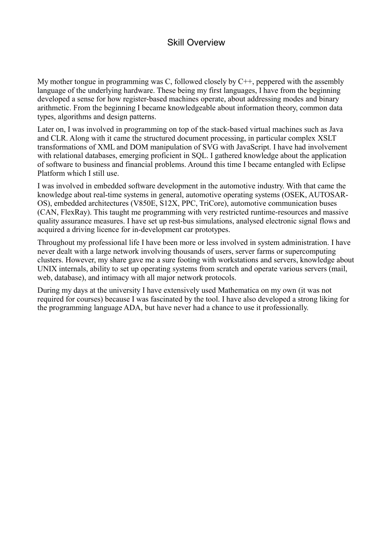# Skill Overview

My mother tongue in programming was C, followed closely by C++, peppered with the assembly language of the underlying hardware. These being my first languages, I have from the beginning developed a sense for how register-based machines operate, about addressing modes and binary arithmetic. From the beginning I became knowledgeable about information theory, common data types, algorithms and design patterns.

Later on, I was involved in programming on top of the stack-based virtual machines such as Java and CLR. Along with it came the structured document processing, in particular complex XSLT transformations of XML and DOM manipulation of SVG with JavaScript. I have had involvement with relational databases, emerging proficient in SOL. I gathered knowledge about the application of software to business and financial problems. Around this time I became entangled with Eclipse Platform which I still use.

I was involved in embedded software development in the automotive industry. With that came the knowledge about real-time systems in general, automotive operating systems (OSEK, AUTOSAR-OS), embedded architectures (V850E, S12X, PPC, TriCore), automotive communication buses (CAN, FlexRay). This taught me programming with very restricted runtime-resources and massive quality assurance measures. I have set up rest-bus simulations, analysed electronic signal flows and acquired a driving licence for in-development car prototypes.

Throughout my professional life I have been more or less involved in system administration. I have never dealt with a large network involving thousands of users, server farms or supercomputing clusters. However, my share gave me a sure footing with workstations and servers, knowledge about UNIX internals, ability to set up operating systems from scratch and operate various servers (mail, web, database), and intimacy with all major network protocols.

During my days at the university I have extensively used Mathematica on my own (it was not required for courses) because I was fascinated by the tool. I have also developed a strong liking for the programming language ADA, but have never had a chance to use it professionally.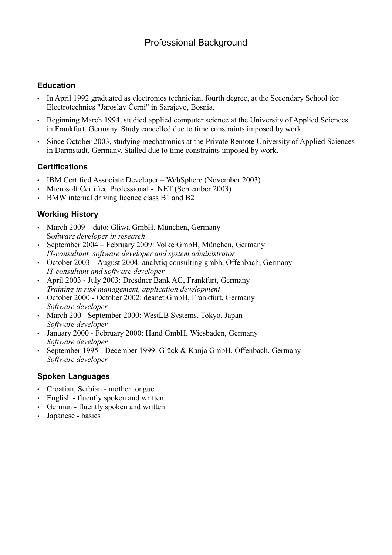# **Education**

- In April 1992 graduated as electronics technician, fourth degree, at the Secondary School for Electrotechnics "Jaroslav Černi" in Sarajevo, Bosnia.
- Beginning March 1994, studied applied computer science at the University of Applied Sciences in Frankfurt, Germany. Study cancelled due to time constraints imposed by work.
- Since October 2003, studying mechatronics at the Private Remote University of Applied Sciences in Darmstadt, Germany. Stalled due to time constraints imposed by work.

## **Certifications**

- IBM Certified Associate Developer WebSphere (November 2003)
- Microsoft Certified Professional .NET (September 2003)
- BMW internal driving licence class B1 and B2

## **Working History**

- March 2009 dato: Gliwa GmbH, München, Germany S*oftware developer in research*
- September 2004 February 2009: Volke GmbH, München, Germany *IT-consultant, software developer and system administrator*
- October 2003 August 2004: analytiq consulting gmbh, Offenbach, Germany *IT-consultant and software developer*
- April 2003 July 2003: Dresdner Bank AG, Frankfurt, Germany *Training in risk management, application development*
- October 2000 October 2002: deanet GmbH, Frankfurt, Germany *Software developer*
- March 200 September 2000: WestLB Systems, Tokyo, Japan *Software developer*
- January 2000 February 2000: Hand GmbH, Wiesbaden, Germany *Software developer*
- September 1995 December 1999: Glück & Kanja GmbH, Offenbach, Germany *Software developer*

## **Spoken Languages**

- Croatian, Serbian mother tongue
- English fluently spoken and written
- German fluently spoken and written
- Japanese basics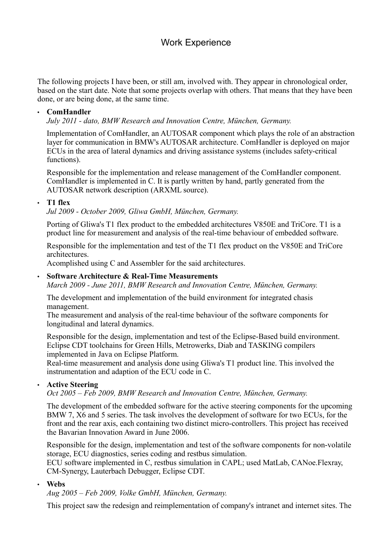# Work Experience

The following projects I have been, or still am, involved with. They appear in chronological order, based on the start date. Note that some projects overlap with others. That means that they have been done, or are being done, at the same time.

#### • **ComHandler**

*July 2011 - dato, BMW Research and Innovation Centre, München, Germany.*

Implementation of ComHandler, an AUTOSAR component which plays the role of an abstraction layer for communication in BMW's AUTOSAR architecture. ComHandler is deployed on major ECUs in the area of lateral dynamics and driving assistance systems (includes safety-critical functions).

Responsible for the implementation and release management of the ComHandler component. ComHandler is implemented in C. It is partly written by hand, partly generated from the AUTOSAR network description (ARXML source).

#### • **T1 flex**

*Jul 2009 - October 2009, Gliwa GmbH, München, Germany.*

Porting of Gliwa's T1 flex product to the embedded architectures V850E and TriCore. T1 is a product line for measurement and analysis of the real-time behaviour of embedded software.

Responsible for the implementation and test of the T1 flex product on the V850E and TriCore architectures.

Acomplished using C and Assembler for the said architectures.

#### • **Software Architecture & Real-Time Measurements**

*March 2009 - June 2011, BMW Research and Innovation Centre, München, Germany.*

The development and implementation of the build environment for integrated chasis management.

The measurement and analysis of the real-time behaviour of the software components for longitudinal and lateral dynamics.

Responsible for the design, implementation and test of the Eclipse-Based build environment. Eclipse CDT toolchains for Green Hills, Metrowerks, Diab and TASKING compilers implemented in Java on Eclipse Platform.

Real-time measurement and analysis done using Gliwa's T1 product line. This involved the instrumentation and adaption of the ECU code in C.

#### • **Active Steering**

*Oct 2005 – Feb 2009, BMW Research and Innovation Centre, München, Germany.*

The development of the embedded software for the active steering components for the upcoming BMW 7, X6 and 5 series. The task involves the development of software for two ECUs, for the front and the rear axis, each containing two distinct micro-controllers. This project has received the Bavarian Innovation Award in June 2006.

Responsible for the design, implementation and test of the software components for non-volatile storage, ECU diagnostics, series coding and restbus simulation.

ECU software implemented in C, restbus simulation in CAPL; used MatLab, CANoe.Flexray, CM-Synergy, Lauterbach Debugger, Eclipse CDT.

#### • **Webs**

*Aug 2005 – Feb 2009, Volke GmbH, München, Germany.*

This project saw the redesign and reimplementation of company's intranet and internet sites. The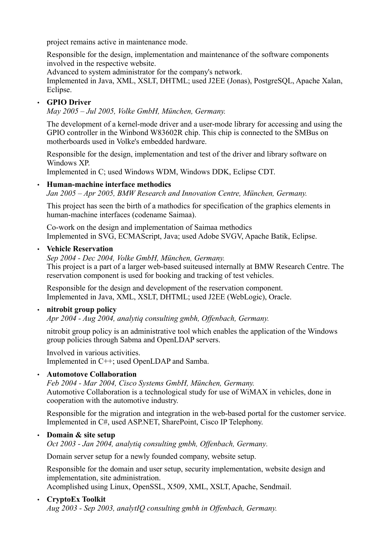project remains active in maintenance mode.

Responsible for the design, implementation and maintenance of the software components involved in the respective website.

Advanced to system administrator for the company's network.

Implemented in Java, XML, XSLT, DHTML; used J2EE (Jonas), PostgreSQL, Apache Xalan, Eclipse.

### • **GPIO Driver**

*May 2005 – Jul 2005, Volke GmbH, München, Germany.*

The development of a kernel-mode driver and a user-mode library for accessing and using the GPIO controller in the Winbond W83602R chip. This chip is connected to the SMBus on motherboards used in Volke's embedded hardware.

Responsible for the design, implementation and test of the driver and library software on Windows XP.

Implemented in C; used Windows WDM, Windows DDK, Eclipse CDT.

#### • **Human-machine interface methodics**

*Jan 2005 – Apr 2005, BMW Research and Innovation Centre, München, Germany.*

This project has seen the birth of a mathodics for specification of the graphics elements in human-machine interfaces (codename Saimaa).

Co-work on the design and implementation of Saimaa methodics Implemented in SVG, ECMAScript, Java; used Adobe SVGV, Apache Batik, Eclipse.

#### • **Vehicle Reservation**

*Sep 2004 - Dec 2004, Volke GmbH, München, Germany.* This project is a part of a larger web-based suiteused internally at BMW Research Centre. The reservation component is used for booking and tracking of test vehicles.

Responsible for the design and development of the reservation component. Implemented in Java, XML, XSLT, DHTML; used J2EE (WebLogic), Oracle.

#### • **nitrobit group policy**

*Apr 2004 - Aug 2004, analytiq consulting gmbh, Offenbach, Germany.*

nitrobit group policy is an administrative tool which enables the application of the Windows group policies through Sabma and OpenLDAP servers.

Involved in various activities. Implemented in C++; used OpenLDAP and Samba.

#### • **Automotove Collaboration**

*Feb 2004 - Mar 2004, Cisco Systems GmbH, München, Germany.* Automotive Collaboration is a technological study for use of WiMAX in vehicles, done in cooperation with the automotive industry.

Responsible for the migration and integration in the web-based portal for the customer service. Implemented in C#, used ASP.NET, SharePoint, Cisco IP Telephony.

#### • **Domain & site setup**

*Oct 2003 - Jan 2004, analytiq consulting gmbh, Offenbach, Germany.*

Domain server setup for a newly founded company, website setup.

Responsible for the domain and user setup, security implementation, website design and implementation, site administration. Acomplished using Linux, OpenSSL, X509, XML, XSLT, Apache, Sendmail.

#### • **CryptoEx Toolkit**

*Aug 2003 - Sep 2003, analytIQ consulting gmbh in Offenbach, Germany.*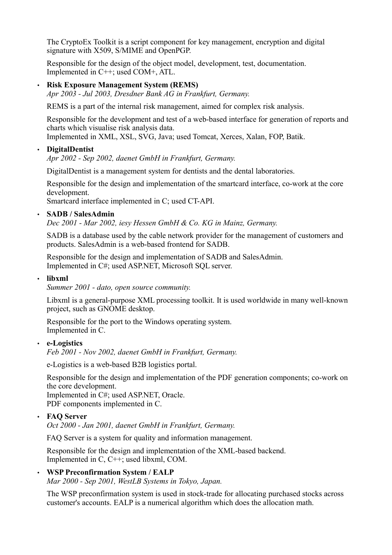The CryptoEx Toolkit is a script component for key management, encryption and digital signature with X509, S/MIME and OpenPGP.

Responsible for the design of the object model, development, test, documentation. Implemented in C++; used COM+, ATL.

#### • **Risk Exposure Management System (REMS)**

*Apr 2003 - Jul 2003, Dresdner Bank AG in Frankfurt, Germany.*

REMS is a part of the internal risk management, aimed for complex risk analysis.

Responsible for the development and test of a web-based interface for generation of reports and charts which visualise risk analysis data.

Implemented in XML, XSL, SVG, Java; used Tomcat, Xerces, Xalan, FOP, Batik.

#### • **DigitalDentist**

*Apr 2002 - Sep 2002, daenet GmbH in Frankfurt, Germany.*

DigitalDentist is a management system for dentists and the dental laboratories.

Responsible for the design and implementation of the smartcard interface, co-work at the core development.

Smartcard interface implemented in C; used CT-API.

#### • **SADB / SalesAdmin**

*Dec 2001 - Mar 2002, iesy Hessen GmbH & Co. KG in Mainz, Germany.*

SADB is a database used by the cable network provider for the management of customers and products. SalesAdmin is a web-based frontend for SADB.

Responsible for the design and implementation of SADB and SalesAdmin. Implemented in C#; used ASP.NET, Microsoft SQL server.

#### • **libxml**

*Summer 2001 - dato, open source community.*

Libxml is a general-purpose XML processing toolkit. It is used worldwide in many well-known project, such as GNOME desktop.

Responsible for the port to the Windows operating system. Implemented in C.

#### • **e-Logistics**

*Feb 2001 - Nov 2002, daenet GmbH in Frankfurt, Germany.*

e-Logistics is a web-based B2B logistics portal.

Responsible for the design and implementation of the PDF generation components; co-work on the core development.

Implemented in C#; used ASP.NET, Oracle. PDF components implemented in C.

#### • **FAQ Server**

*Oct 2000 - Jan 2001, daenet GmbH in Frankfurt, Germany.*

FAQ Server is a system for quality and information management.

Responsible for the design and implementation of the XML-based backend. Implemented in C, C++; used libxml, COM.

#### • **WSP Preconfirmation System / EALP**

*Mar 2000 - Sep 2001, WestLB Systems in Tokyo, Japan.*

The WSP preconfirmation system is used in stock-trade for allocating purchased stocks across customer's accounts. EALP is a numerical algorithm which does the allocation math.